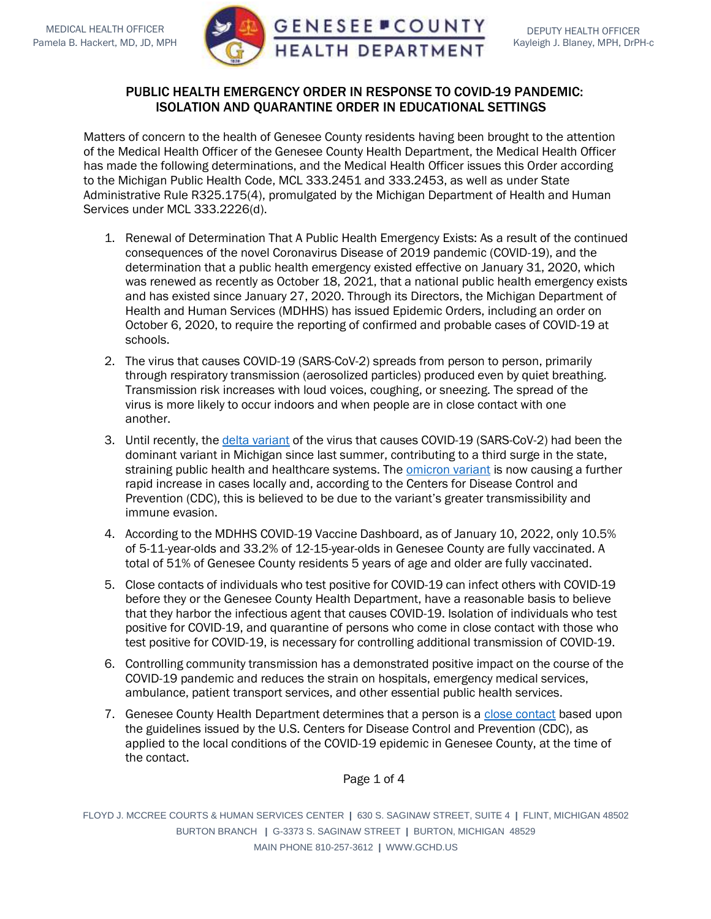

## PUBLIC HEALTH EMERGENCY ORDER IN RESPONSE TO COVID-19 PANDEMIC: ISOLATION AND QUARANTINE ORDER IN EDUCATIONAL SETTINGS

Matters of concern to the health of Genesee County residents having been brought to the attention of the Medical Health Officer of the Genesee County Health Department, the Medical Health Officer has made the following determinations, and the Medical Health Officer issues this Order according to the Michigan Public Health Code, MCL 333.2451 and 333.2453, as well as under State Administrative Rule R325.175(4), promulgated by the Michigan Department of Health and Human Services under MCL 333.2226(d).

- 1. Renewal of Determination That A Public Health Emergency Exists: As a result of the continued consequences of the novel Coronavirus Disease of 2019 pandemic (COVID-19), and the determination that a public health emergency existed effective on January 31, 2020, which was renewed as recently as October 18, 2021, that a national public health emergency exists and has existed since January 27, 2020. Through its Directors, the Michigan Department of Health and Human Services (MDHHS) has issued Epidemic Orders, including an order on October 6, 2020, to require the reporting of confirmed and probable cases of COVID-19 at schools.
- 2. The virus that causes COVID-19 (SARS-CoV-2) spreads from person to person, primarily through respiratory transmission (aerosolized particles) produced even by quiet breathing. Transmission risk increases with loud voices, coughing, or sneezing. The spread of the virus is more likely to occur indoors and when people are in close contact with one another.
- 3. Until recently, the delta [variant](https://www.cdc.gov/coronavirus/2019-ncov/variants/delta-variant.html?s_cid=11512%3Acdc%20delta%20variant%3Asem.ga%3Ap%3ARG%3AGM%3Agen%3APTN%3AFY21) of the virus that causes COVID-19 (SARS-CoV-2) had been the dominant variant in Michigan since last summer, contributing to a third surge in the state, straining public health and healthcare systems. The **[omicron variant](https://www.cdc.gov/coronavirus/2019-ncov/science/forecasting/mathematical-modeling-outbreak.html)** is now causing a further rapid increase in cases locally and, according to the Centers for Disease Control and Prevention (CDC), this is believed to be due to the variant's greater transmissibility and immune evasion.
- 4. According to the MDHHS COVID-19 Vaccine Dashboard, as of January 10, 2022, only 10.5% of 5-11-year-olds and 33.2% of 12-15-year-olds in Genesee County are fully vaccinated. A total of 51% of Genesee County residents 5 years of age and older are fully vaccinated.
- 5. Close contacts of individuals who test positive for COVID-19 can infect others with COVID-19 before they or the Genesee County Health Department, have a reasonable basis to believe that they harbor the infectious agent that causes COVID-19. Isolation of individuals who test positive for COVID-19, and quarantine of persons who come in close contact with those who test positive for COVID-19, is necessary for controlling additional transmission of COVID-19.
- 6. Controlling community transmission has a demonstrated positive impact on the course of the COVID-19 pandemic and reduces the strain on hospitals, emergency medical services, ambulance, patient transport services, and other essential public health services.
- 7. Genesee County Health Department determines that a person is a [close contact](https://www.cdc.gov/coronavirus/2019-ncov/php/contact-tracing/contact-tracing-plan/appendix.html#contact) based upon the guidelines issued by the U.S. Centers for Disease Control and Prevention (CDC), as applied to the local conditions of the COVID-19 epidemic in Genesee County, at the time of the contact.

Page 1 of 4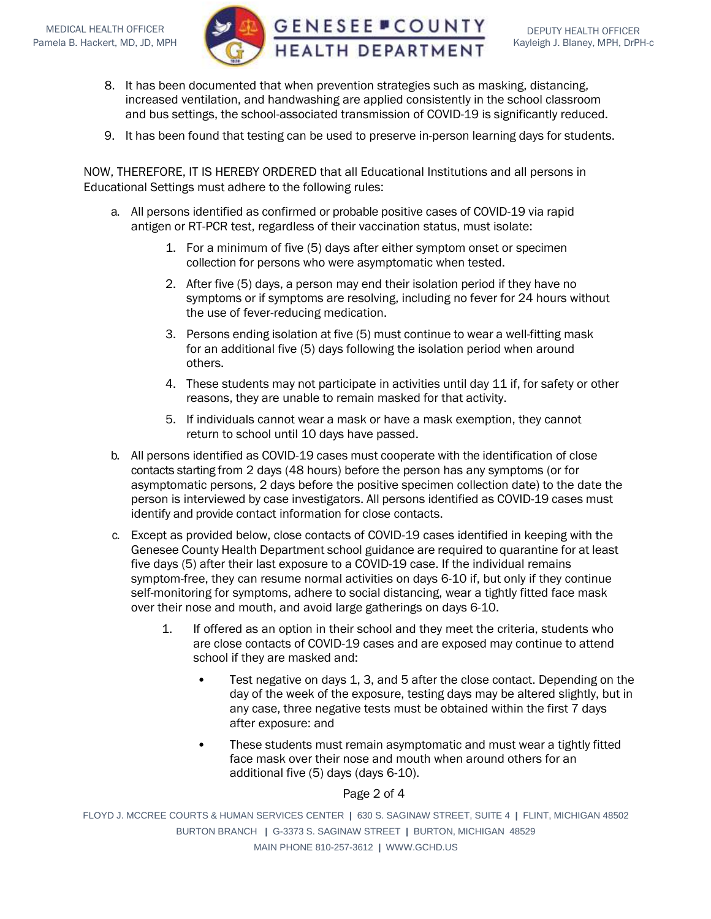

- 8. It has been documented that when prevention strategies such as masking, distancing, increased ventilation, and handwashing are applied consistently in the school classroom and bus settings, the school-associated transmission of COVID-19 is significantly reduced.
- 9. It has been found that testing can be used to preserve in-person learning days for students.

NOW, THEREFORE, IT IS HEREBY ORDERED that all Educational Institutions and all persons in Educational Settings must adhere to the following rules:

- a. All persons identified as confirmed or probable positive cases of COVID-19 via rapid antigen or RT-PCR test, regardless of their vaccination status, must isolate:
	- 1. For a minimum of five (5) days after either symptom onset or specimen collection for persons who were asymptomatic when tested.
	- 2. After five (5) days, a person may end their isolation period if they have no symptoms or if symptoms are resolving, including no fever for 24 hours without the use of fever-reducing medication.
	- 3. Persons ending isolation at five (5) must continue to wear a well-fitting mask for an additional five (5) days following the isolation period when around others.
	- 4. These students may not participate in activities until day 11 if, for safety or other reasons, they are unable to remain masked for that activity.
	- 5. If individuals cannot wear a mask or have a mask exemption, they cannot return to school until 10 days have passed.
- b. All persons identified as COVID-19 cases must cooperate with the identification of close contacts starting from 2 days (48 hours) before the person has any symptoms (or for asymptomatic persons, 2 days before the positive specimen collection date) to the date the person is interviewed by case investigators. All persons identified as COVID-19 cases must identify and provide contact information for close contacts.
- c. Except as provided below, close contacts of COVID-19 cases identified in keeping with the Genesee County Health Department school [guidance](https://www.washtenaw.org/DocumentCenter/View/22509/WCHD-Summary-Guidance-for-K-12-Schools-11-12-21?bidId) are required to quarantine for at least five days (5) after their last exposure to a COVID-19 case. If the individual remains symptom-free, they can resume normal activities on days 6-10 if, but only if they continue self-monitoring for symptoms, adhere to social distancing, wear a tightly fitted face mask over their nose and mouth, and avoid large gatherings on days 6-10.
	- 1. If offered as an option in their school and they meet the criteria, students who are close contacts of COVID-19 cases and are exposed may continue to attend school if they are masked and:
		- Test negative on days 1, 3, and 5 after the close contact. Depending on the day of the week of the exposure, testing days may be altered slightly, but in any case, three negative tests must be obtained within the first 7 days after exposure: and
		- These students must remain asymptomatic and must wear a tightly fitted face mask over their nose and mouth when around others for an additional five (5) days (days 6-10).

## Page 2 of 4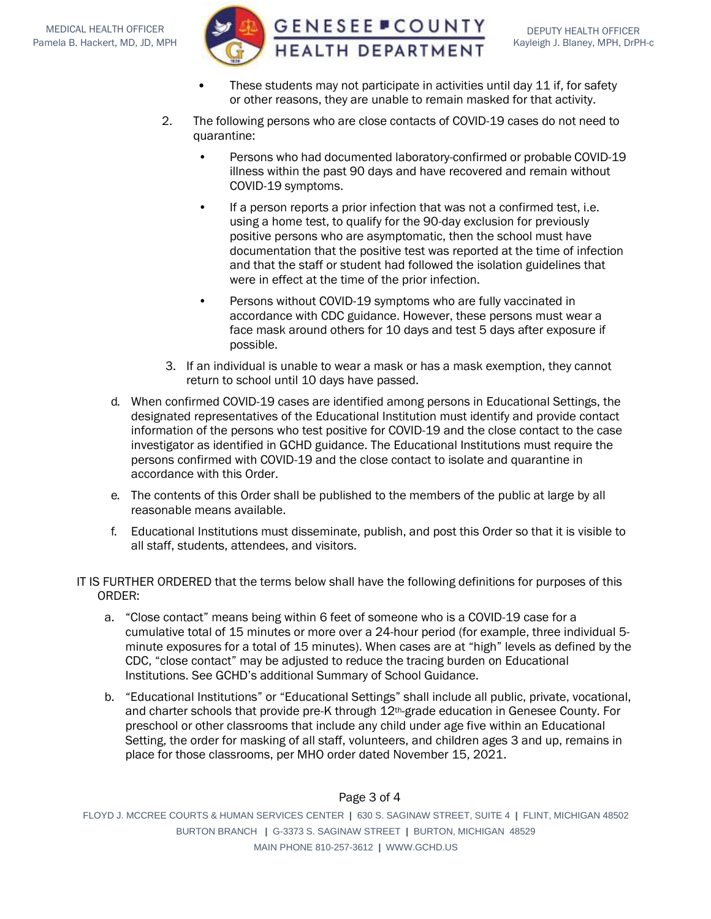

- These students may not participate in activities until day 11 if, for safety or other reasons, they are unable to remain masked for that activity.
- 2. The following persons who are close contacts of COVID-19 cases do not need to quarantine:
	- Persons who had documented laboratory-confirmed or probable COVID-19 illness within the past 90 days and have recovered and remain without COVID-19 symptoms.
	- If a person reports a prior infection that was not a confirmed test, i.e. using a home test, to qualify for the 90-day exclusion for previously positive persons who are asymptomatic, then the school must have documentation that the positive test was reported at the time of infection and that the staff or student had followed the isolation guidelines that were in effect at the time of the prior infection.
	- Persons without COVID-19 symptoms who are fully vaccinated in accordance with CDC guidance. However, these persons must wear a face mask around others for 10 days and test 5 days after exposure if possible.
- 3. If an individual is unable to wear a mask or has a mask exemption, they cannot return to school until 10 days have passed.
- d. When confirmed COVID-19 cases are identified among persons in Educational Settings, the designated representatives of the Educational Institution must identify and provide contact information of the persons who test positive for COVID-19 and the close contact to the case investigator as identified in GCHD guidance. The Educational Institutions must require the persons confirmed with COVID-19 and the close contact to isolate and quarantine in accordance with this Order.
- e. The contents of this Order shall be published to the members of the public at large by all reasonable means available.
- f. Educational Institutions must disseminate, publish, and post this Order so that it is visible to all staff, students, attendees, and visitors.

IT IS FURTHER ORDERED that the terms below shall have the following definitions for purposes of this ORDER:

- a. "Close contact" means being within 6 feet of someone who is a COVID-19 case for a cumulative total of 15 minutes or more over a 24-hour period (for example, three individual 5 minute exposures for a total of 15 minutes). When cases are at "high" levels as defined by the CDC, "close contact" may be adjusted to reduce the tracing burden on Educational Institutions. See GCHD's additional Summary of School Guidance.
- b. "Educational Institutions" or "Educational Settings" shall include all public, private, vocational, and charter schools that provide pre-K through 12th-grade education in Genesee County. For preschool or other classrooms that include any child under age five within an Educational Setting, the order for masking of all staff, volunteers, and children ages 3 and up, remains in place for those classrooms, per MHO order dated November 15, 2021.

## Page 3 of 4